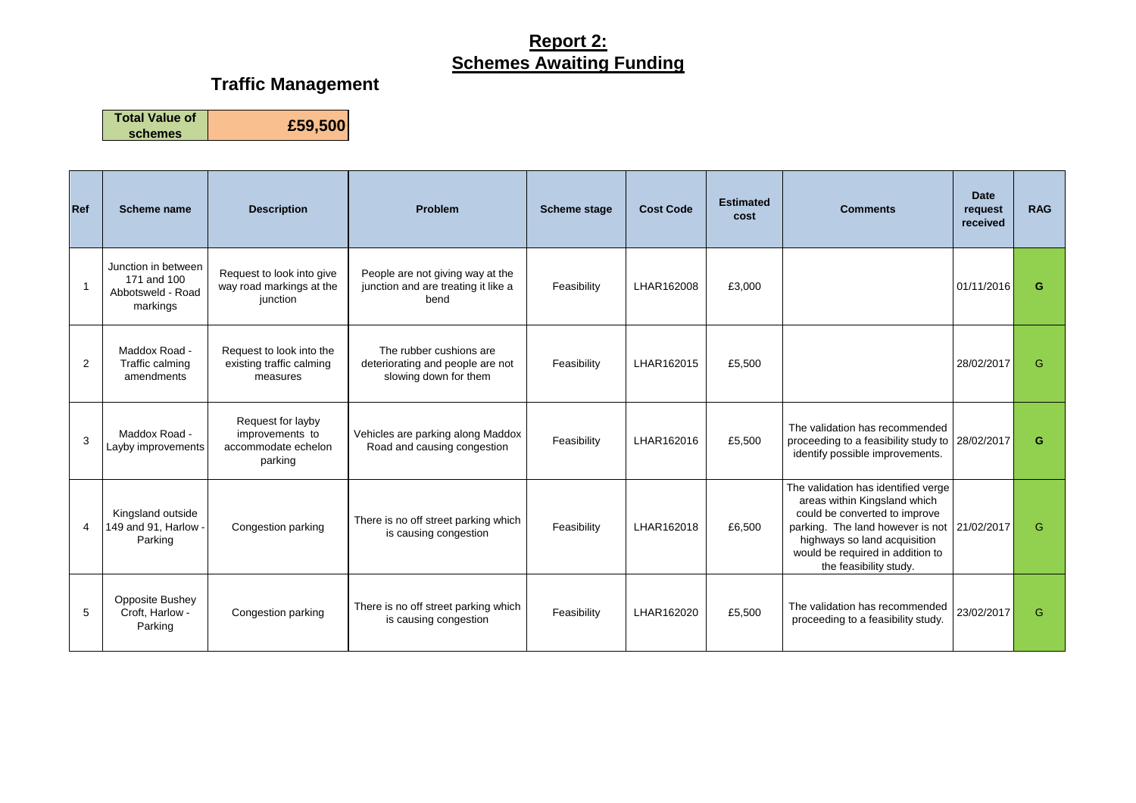# **Traffic Management**

| <b>Ref</b>     | Scheme name                                                         | <b>Description</b>                                                     | <b>Problem</b>                                                                       | <b>Scheme stage</b> | <b>Cost Code</b> | <b>Estimated</b><br>cost | <b>Comments</b>                                                                                                                                                                                                                        | <b>Date</b><br>request<br>received | <b>RAG</b> |
|----------------|---------------------------------------------------------------------|------------------------------------------------------------------------|--------------------------------------------------------------------------------------|---------------------|------------------|--------------------------|----------------------------------------------------------------------------------------------------------------------------------------------------------------------------------------------------------------------------------------|------------------------------------|------------|
| $\overline{1}$ | Junction in between<br>171 and 100<br>Abbotsweld - Road<br>markings | Request to look into give<br>way road markings at the<br>junction      | People are not giving way at the<br>junction and are treating it like a<br>bend      | Feasibility         | LHAR162008       | £3,000                   |                                                                                                                                                                                                                                        | 01/11/2016                         | G          |
| 2              | Maddox Road -<br>Traffic calming<br>amendments                      | Request to look into the<br>existing traffic calming<br>measures       | The rubber cushions are<br>deteriorating and people are not<br>slowing down for them | Feasibility         | LHAR162015       | £5.500                   |                                                                                                                                                                                                                                        | 28/02/2017                         | G          |
| 3              | Maddox Road -<br>Layby improvements                                 | Request for layby<br>improvements to<br>accommodate echelon<br>parking | Vehicles are parking along Maddox<br>Road and causing congestion                     | Feasibility         | LHAR162016       | £5,500                   | The validation has recommended<br>proceeding to a feasibility study to<br>identify possible improvements.                                                                                                                              | 28/02/2017                         | G          |
| $\overline{4}$ | Kingsland outside<br>149 and 91, Harlow -<br>Parking                | Congestion parking                                                     | There is no off street parking which<br>is causing congestion                        | Feasibility         | LHAR162018       | £6,500                   | The validation has identified verge<br>areas within Kingsland which<br>could be converted to improve<br>parking. The land however is not<br>highways so land acquisition<br>would be required in addition to<br>the feasibility study. | 21/02/2017                         | G          |
| 5              | Opposite Bushey<br>Croft, Harlow -<br>Parking                       | Congestion parking                                                     | There is no off street parking which<br>is causing congestion                        | Feasibility         | LHAR162020       | £5,500                   | The validation has recommended<br>proceeding to a feasibility study.                                                                                                                                                                   | 23/02/2017                         | G          |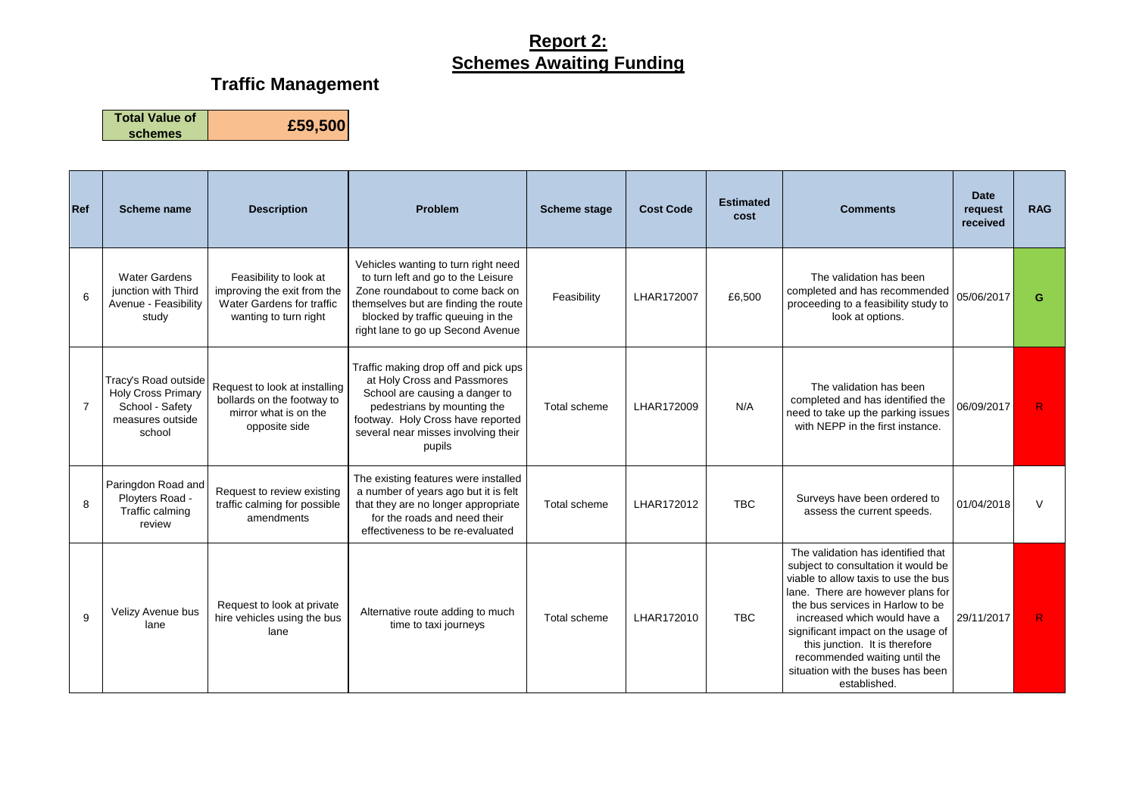# **Traffic Management**

| Ref            | Scheme name                                                                                        | <b>Description</b>                                                                                          | Problem                                                                                                                                                                                                                        | <b>Scheme stage</b> | <b>Cost Code</b> | <b>Estimated</b><br>cost | <b>Comments</b>                                                                                                                                                                                                                                                                                                                                                                          | Date<br>request<br>received | <b>RAG</b> |
|----------------|----------------------------------------------------------------------------------------------------|-------------------------------------------------------------------------------------------------------------|--------------------------------------------------------------------------------------------------------------------------------------------------------------------------------------------------------------------------------|---------------------|------------------|--------------------------|------------------------------------------------------------------------------------------------------------------------------------------------------------------------------------------------------------------------------------------------------------------------------------------------------------------------------------------------------------------------------------------|-----------------------------|------------|
| 6              | <b>Water Gardens</b><br>junction with Third<br>Avenue - Feasibility<br>study                       | Feasibility to look at<br>improving the exit from the<br>Water Gardens for traffic<br>wanting to turn right | Vehicles wanting to turn right need<br>to turn left and go to the Leisure<br>Zone roundabout to come back on<br>themselves but are finding the route<br>blocked by traffic queuing in the<br>right lane to go up Second Avenue | Feasibility         | LHAR172007       | £6,500                   | The validation has been<br>completed and has recommended<br>proceeding to a feasibility study to<br>look at options.                                                                                                                                                                                                                                                                     | 05/06/2017                  | G          |
| $\overline{7}$ | Tracy's Road outside<br><b>Holy Cross Primary</b><br>School - Safety<br>measures outside<br>school | Request to look at installing<br>bollards on the footway to<br>mirror what is on the<br>opposite side       | Traffic making drop off and pick ups<br>at Holy Cross and Passmores<br>School are causing a danger to<br>pedestrians by mounting the<br>footway. Holy Cross have reported<br>several near misses involving their<br>pupils     | Total scheme        | LHAR172009       | N/A                      | The validation has been<br>completed and has identified the<br>need to take up the parking issues<br>with NEPP in the first instance.                                                                                                                                                                                                                                                    | 06/09/2017                  | R.         |
| 8              | Paringdon Road and<br>Ployters Road -<br>Traffic calming<br>review                                 | Request to review existing<br>traffic calming for possible<br>amendments                                    | The existing features were installed<br>a number of years ago but it is felt<br>that they are no longer appropriate<br>for the roads and need their<br>effectiveness to be re-evaluated                                        | Total scheme        | LHAR172012       | <b>TBC</b>               | Surveys have been ordered to<br>assess the current speeds.                                                                                                                                                                                                                                                                                                                               | 01/04/2018                  | $\vee$     |
| 9              | Velizy Avenue bus<br>lane                                                                          | Request to look at private<br>hire vehicles using the bus<br>lane                                           | Alternative route adding to much<br>time to taxi journeys                                                                                                                                                                      | Total scheme        | LHAR172010       | <b>TBC</b>               | The validation has identified that<br>subject to consultation it would be<br>viable to allow taxis to use the bus<br>lane. There are however plans for<br>the bus services in Harlow to be<br>increased which would have a<br>significant impact on the usage of<br>this junction. It is therefore<br>recommended waiting until the<br>situation with the buses has been<br>established. | 29/11/2017                  | R.         |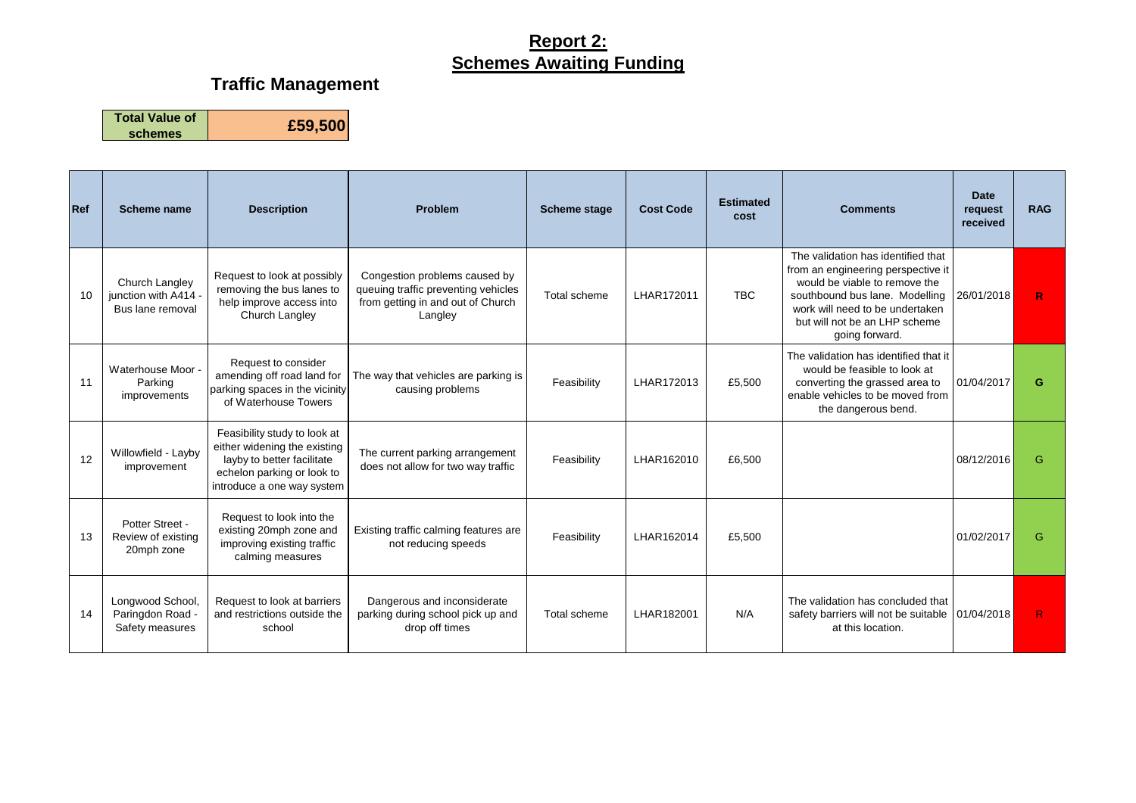# **Traffic Management**

| <b>Ref</b> | Scheme name                                                | <b>Description</b>                                                                                                                                     | <b>Problem</b>                                                                                                       | <b>Scheme stage</b> | <b>Cost Code</b> | <b>Estimated</b><br>cost | <b>Comments</b>                                                                                                                                                                                                                   | <b>Date</b><br>request<br>received | <b>RAG</b> |
|------------|------------------------------------------------------------|--------------------------------------------------------------------------------------------------------------------------------------------------------|----------------------------------------------------------------------------------------------------------------------|---------------------|------------------|--------------------------|-----------------------------------------------------------------------------------------------------------------------------------------------------------------------------------------------------------------------------------|------------------------------------|------------|
| 10         | Church Langley<br>junction with A414 -<br>Bus lane removal | Request to look at possibly<br>removing the bus lanes to<br>help improve access into<br>Church Langley                                                 | Congestion problems caused by<br>queuing traffic preventing vehicles<br>from getting in and out of Church<br>Langley | Total scheme        | LHAR172011       | <b>TBC</b>               | The validation has identified that<br>from an engineering perspective it<br>would be viable to remove the<br>southbound bus lane. Modelling<br>work will need to be undertaken<br>but will not be an LHP scheme<br>going forward. | 26/01/2018                         | R          |
| 11         | Waterhouse Moor -<br>Parking<br>improvements               | Request to consider<br>amending off road land for<br>parking spaces in the vicinity<br>of Waterhouse Towers                                            | The way that vehicles are parking is<br>causing problems                                                             | Feasibility         | LHAR172013       | £5,500                   | The validation has identified that it<br>would be feasible to look at<br>converting the grassed area to<br>enable vehicles to be moved from<br>the dangerous bend.                                                                | 01/04/2017                         | G          |
| 12         | Willowfield - Layby<br>improvement                         | Feasibility study to look at<br>either widening the existing<br>layby to better facilitate<br>echelon parking or look to<br>introduce a one way system | The current parking arrangement<br>does not allow for two way traffic                                                | Feasibility         | LHAR162010       | £6.500                   |                                                                                                                                                                                                                                   | 08/12/2016                         | G          |
| 13         | Potter Street -<br>Review of existing<br>20mph zone        | Request to look into the<br>existing 20mph zone and<br>improving existing traffic<br>calming measures                                                  | Existing traffic calming features are<br>not reducing speeds                                                         | Feasibility         | LHAR162014       | £5.500                   |                                                                                                                                                                                                                                   | 01/02/2017                         | G          |
| 14         | Longwood School,<br>Paringdon Road -<br>Safety measures    | Request to look at barriers<br>and restrictions outside the<br>school                                                                                  | Dangerous and inconsiderate<br>parking during school pick up and<br>drop off times                                   | Total scheme        | LHAR182001       | N/A                      | The validation has concluded that<br>safety barriers will not be suitable<br>at this location.                                                                                                                                    | 01/04/2018                         | R.         |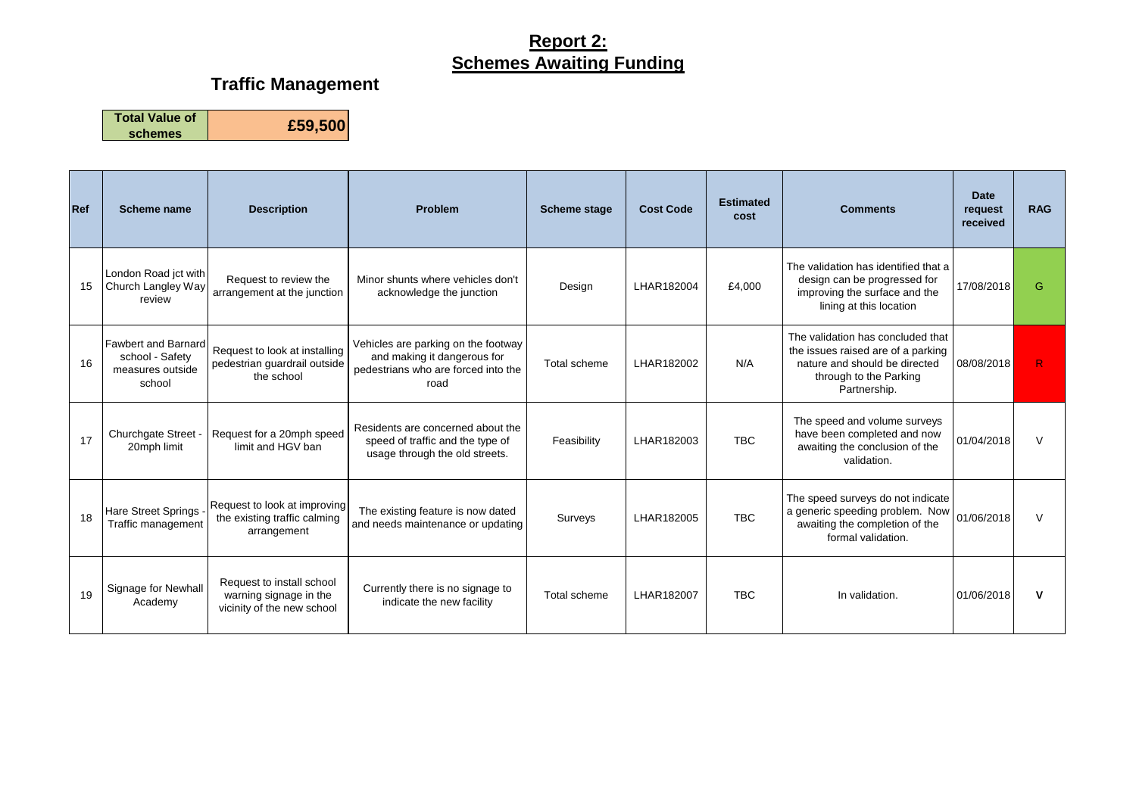# **Traffic Management**

| <b>Ref</b> | Scheme name                                                                 | <b>Description</b>                                                                | Problem                                                                                                           | <b>Scheme stage</b> | <b>Cost Code</b> | <b>Estimated</b><br>cost | <b>Comments</b>                                                                                                                                    | <b>Date</b><br>request<br>received | <b>RAG</b>   |
|------------|-----------------------------------------------------------------------------|-----------------------------------------------------------------------------------|-------------------------------------------------------------------------------------------------------------------|---------------------|------------------|--------------------------|----------------------------------------------------------------------------------------------------------------------------------------------------|------------------------------------|--------------|
| 15         | London Road jct with<br>Church Langley Way<br>review                        | Request to review the<br>arrangement at the junction                              | Minor shunts where vehicles don't<br>acknowledge the junction                                                     | Design              | LHAR182004       | £4,000                   | The validation has identified that a<br>design can be progressed for<br>improving the surface and the<br>lining at this location                   | 17/08/2018                         | G            |
| 16         | <b>Fawbert and Barnard</b><br>school - Safety<br>measures outside<br>school | Request to look at installing<br>pedestrian guardrail outside<br>the school       | Vehicles are parking on the footway<br>and making it dangerous for<br>pedestrians who are forced into the<br>road | Total scheme        | LHAR182002       | N/A                      | The validation has concluded that<br>the issues raised are of a parking<br>nature and should be directed<br>through to the Parking<br>Partnership. | 08/08/2018                         | R            |
| 17         | Churchgate Street -<br>20mph limit                                          | Request for a 20mph speed<br>limit and HGV ban                                    | Residents are concerned about the<br>speed of traffic and the type of<br>usage through the old streets.           | Feasibility         | LHAR182003       | <b>TBC</b>               | The speed and volume surveys<br>have been completed and now<br>awaiting the conclusion of the<br>validation.                                       | 01/04/2018                         | $\vee$       |
| 18         | Hare Street Springs<br>Traffic management                                   | Request to look at improving<br>the existing traffic calming<br>arrangement       | The existing feature is now dated<br>and needs maintenance or updating                                            | Surveys             | LHAR182005       | <b>TBC</b>               | The speed surveys do not indicate<br>a generic speeding problem. Now<br>awaiting the completion of the<br>formal validation.                       | 01/06/2018                         | $\mathsf{V}$ |
| 19         | Signage for Newhall<br>Academy                                              | Request to install school<br>warning signage in the<br>vicinity of the new school | Currently there is no signage to<br>indicate the new facility                                                     | Total scheme        | LHAR182007       | <b>TBC</b>               | In validation.                                                                                                                                     | 01/06/2018                         | $\mathbf v$  |